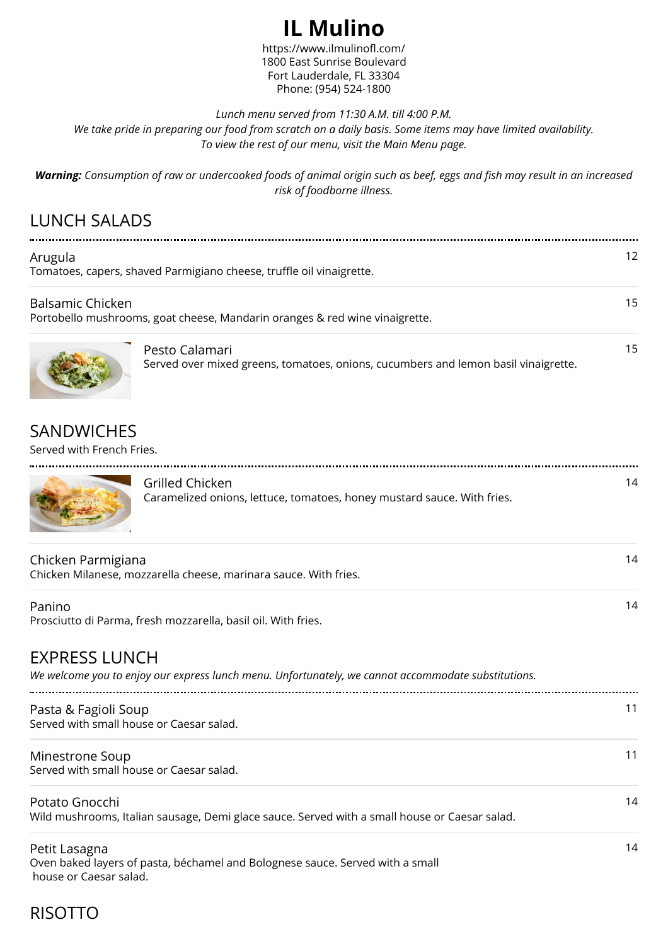# **IL Mulino**

https://www.ilmulinofl.com/ 1800 East Sunrise Boulevard Fort Lauderdale, FL 33304 Phone: (954) 524-1800

#### *Lunch menu served from 11:30 A.M. till 4:00 P.M.*

*We take pride in preparing our food from scratch on a daily basis. Some items may have limited availability. To view the rest of our menu, visit the Main Menu page.*

*Warning: Consumption of raw or undercooked foods of animal origin such as beef, eggs and fish may result in an increased risk of foodborne illness.*

# LUNCH SALADS

| Arugula                                                                                                |                                                                                                      | 12 |  |
|--------------------------------------------------------------------------------------------------------|------------------------------------------------------------------------------------------------------|----|--|
| Tomatoes, capers, shaved Parmigiano cheese, truffle oil vinaigrette.                                   |                                                                                                      |    |  |
| <b>Balsamic Chicken</b><br>Portobello mushrooms, goat cheese, Mandarin oranges & red wine vinaigrette. |                                                                                                      | 15 |  |
|                                                                                                        | Pesto Calamari<br>Served over mixed greens, tomatoes, onions, cucumbers and lemon basil vinaigrette. | 15 |  |

### **SANDWICHES**

Served with French Fries.



| Grilled Chicken                                                         |  |
|-------------------------------------------------------------------------|--|
| Caramelized onions, lettuce, tomatoes, honey mustard sauce. With fries. |  |

14

14

14

| Chicken Parmigiana<br>Chicken Milanese, mozzarella cheese, marinara sauce. With fries. | 14 |
|----------------------------------------------------------------------------------------|----|
| Panino<br>Prosciutto di Parma, fresh mozzarella, basil oil. With fries.                | 14 |

## EXPRESS LUNCH

*We welcome you to enjoy our express lunch menu. Unfortunately, we cannot accommodate substitutions.*

| Pasta & Fagioli Soup<br>Served with small house or Caesar salad. |  |
|------------------------------------------------------------------|--|
| Minestrone Soup<br>Served with small house or Caesar salad.      |  |

Potato Gnocchi Wild mushrooms, Italian sausage, Demi glace sauce. Served with a small house or Caesar salad.

Petit Lasagna Oven baked layers of pasta, béchamel and Bolognese sauce. Served with a small house or Caesar salad.